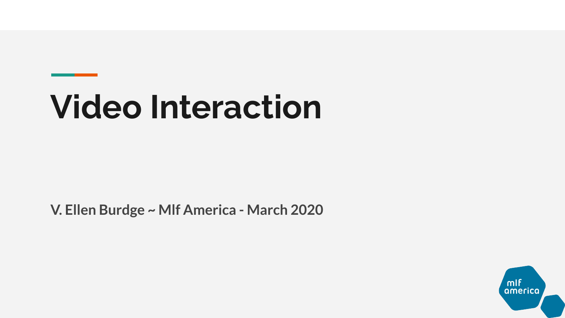# **Video Interaction**

**V. Ellen Burdge ~ Mlf America - March 2020**

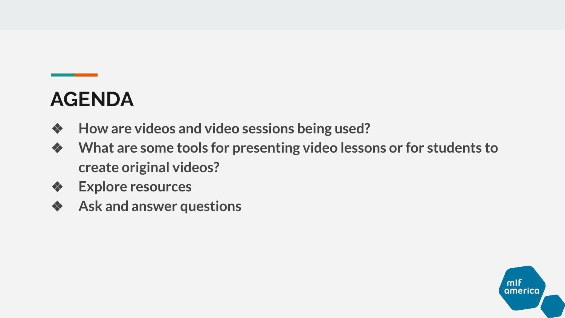### **AGENDA**

- ❖ **How are videos and video sessions being used?**
- ❖ **What are some tools for presenting video lessons or for students to create original videos?**
- ❖ **Explore resources**
- ❖ **Ask and answer questions**

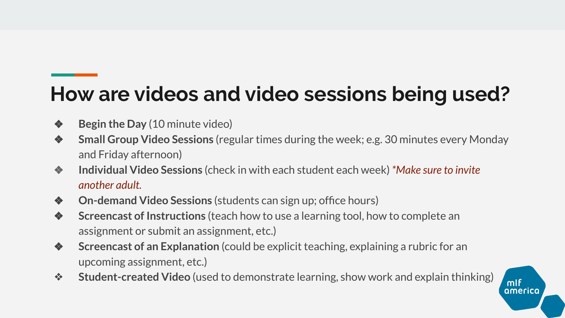## **How are videos and video sessions being used?**

- ❖ **Begin the Day** (10 minute video)
- ❖ **Small Group Video Sessions** (regular times during the week; e.g. 30 minutes every Monday and Friday afternoon)
- ❖ **Individual Video Sessions** (check in with each student each week)*\*Make sure to invite another adult.*
- ❖ **On-demand Video Sessions** (students can sign up; office hours)
- ❖ **Screencast of Instructions** (teach how to use a learning tool, how to complete an assignment or submit an assignment, etc.)
- ❖ **Screencast of an Explanation** (could be explicit teaching, explaining a rubric for an upcoming assignment, etc.)
- ❖ **Student-created Video** (used to demonstrate learning, show work and explain thinking)

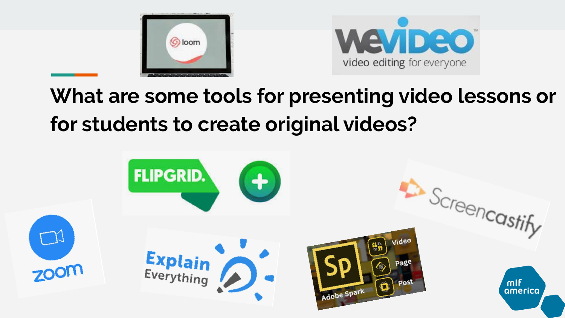



## **What are some tools for presenting video lessons or for students to create original videos?**

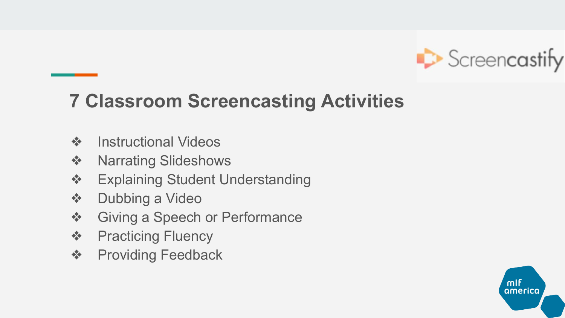

### **7 Classroom Screencasting Activities**

- ❖ Instructional Videos
- ❖ Narrating Slideshows
- ❖ Explaining Student Understanding
- ❖ Dubbing a Video
- ❖ Giving a Speech or Performance
- ❖ Practicing Fluency
- ❖ Providing Feedback

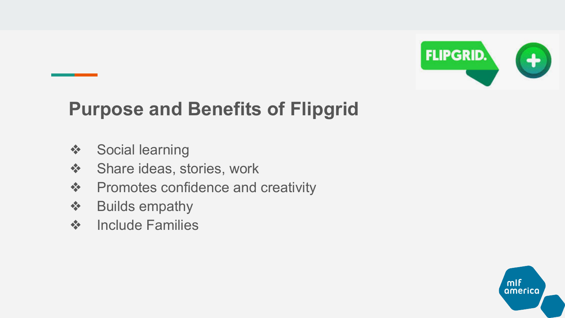

### **Purpose and Benefits of Flipgrid**

- ❖ Social learning
- ❖ Share ideas, stories, work
- ❖ Promotes confidence and creativity
- ❖ Builds empathy
- ❖ Include Families

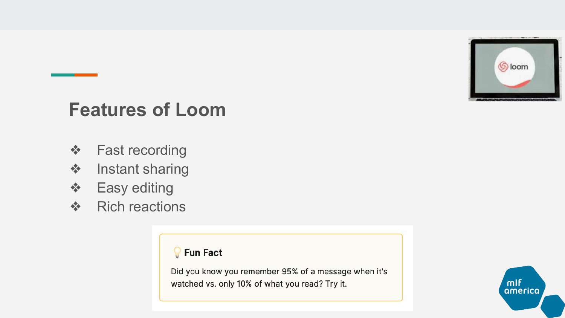

### **Features of Loom**

- ❖ Fast recording
- ❖ Instant sharing
- ❖ Easy editing
- ❖ Rich reactions



Did you know you remember 95% of a message when it's watched vs. only 10% of what you read? Try it.

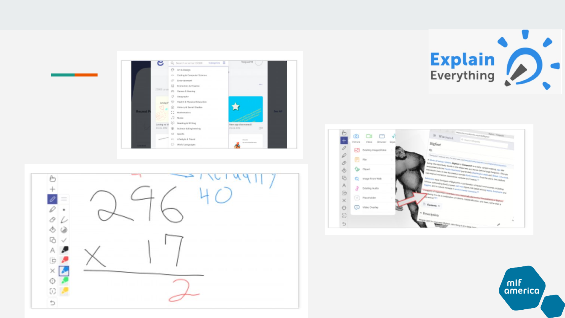







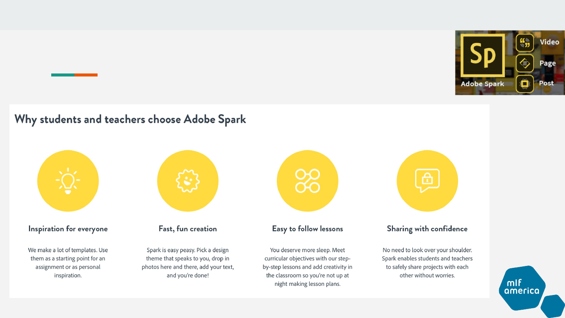

### Why students and teachers choose Adobe Spark



#### Inspiration for everyone

We make a lot of templates. Use them as a starting point for an assignment or as personal inspiration.



#### Fast, fun creation

Spark is easy peasy. Pick a design theme that speaks to you, drop in photos here and there, add your text, and you're done!



#### Easy to follow lessons

You deserve more sleep. Meet curricular objectives with our stepby-step lessons and add creativity in the classroom so you're not up at night making lesson plans.



#### Sharing with confidence

No need to look over your shoulder. Spark enables students and teachers to safely share projects with each other without worries.

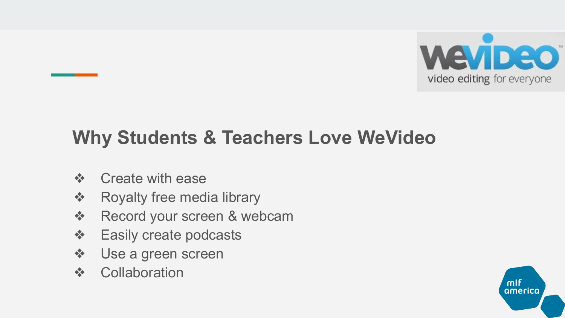

### **Why Students & Teachers Love WeVideo**

- ❖ Create with ease
- ❖ Royalty free media library
- ❖ Record your screen & webcam
- ❖ Easily create podcasts
- ❖ Use a green screen
- ❖ Collaboration

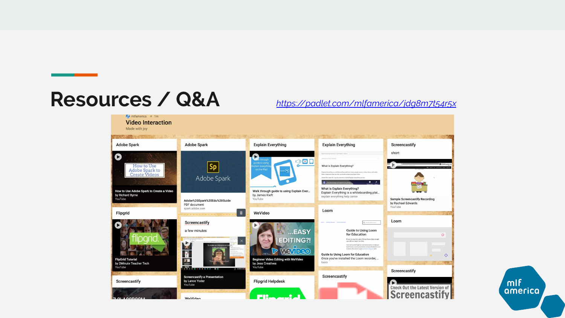### **Resources / Q&A** *https://padlet.com/mlfamerica/jdg8m7t54r5x*



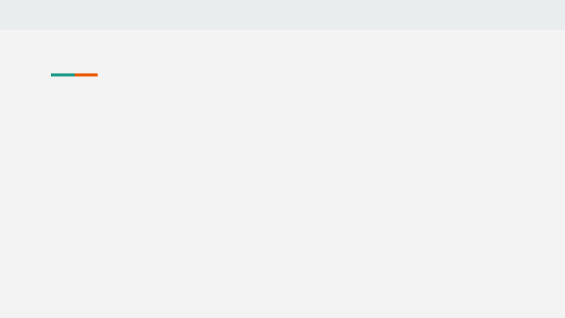**Contract Contract Contract Contract**